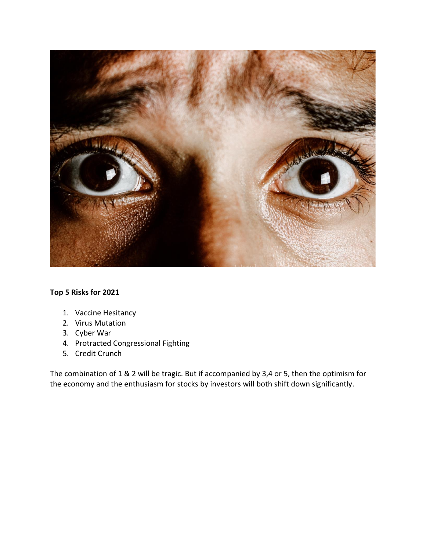

# **Top 5 Risks for 2021**

- 1. Vaccine Hesitancy
- 2. Virus Mutation
- 3. Cyber War
- 4. Protracted Congressional Fighting
- 5. Credit Crunch

The combination of 1 & 2 will be tragic. But if accompanied by 3,4 or 5, then the optimism for the economy and the enthusiasm for stocks by investors will both shift down significantly.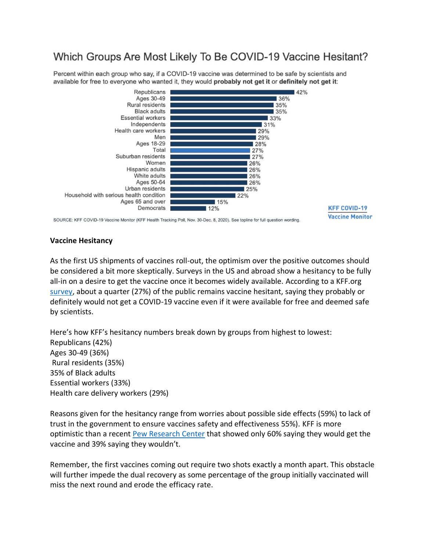# Which Groups Are Most Likely To Be COVID-19 Vaccine Hesitant?

Percent within each group who say, if a COVID-19 vaccine was determined to be safe by scientists and available for free to everyone who wanted it, they would probably not get it or definitely not get it:



SOURCE: KFF COVID-19 Vaccine Monitor (KFF Health Tracking Poll, Nov. 30-Dec. 8, 2020). See topline for full question wording.

# **Vaccine Monitor**

## **Vaccine Hesitancy**

As the first US shipments of vaccines roll-out, the optimism over the positive outcomes should be considered a bit more skeptically. Surveys in the US and abroad show a hesitancy to be fully all-in on a desire to get the vaccine once it becomes widely available. According to a KFF.org [survey,](https://www.kff.org/coronavirus-covid-19/report/kff-covid-19-vaccine-monitor-december-2020/) about a quarter (27%) of the public remains vaccine hesitant, saying they probably or definitely would not get a COVID-19 vaccine even if it were available for free and deemed safe by scientists.

Here's how KFF's hesitancy numbers break down by groups from highest to lowest: Republicans (42%) Ages 30-49 (36%) Rural residents (35%) 35% of Black adults Essential workers (33%) Health care delivery workers (29%)

Reasons given for the hesitancy range from worries about possible side effects (59%) to lack of trust in the government to ensure vaccines safety and effectiveness 55%). KFF is more optimistic than a recent [Pew Research Center](https://www.pewresearch.org/science/2020/12/03/intent-to-get-a-covid-19-vaccine-rises-to-60-as-confidence-in-research-and-development-process-increases/) that showed only 60% saying they would get the vaccine and 39% saying they wouldn't.

Remember, the first vaccines coming out require two shots exactly a month apart. This obstacle will further impede the dual recovery as some percentage of the group initially vaccinated will miss the next round and erode the efficacy rate.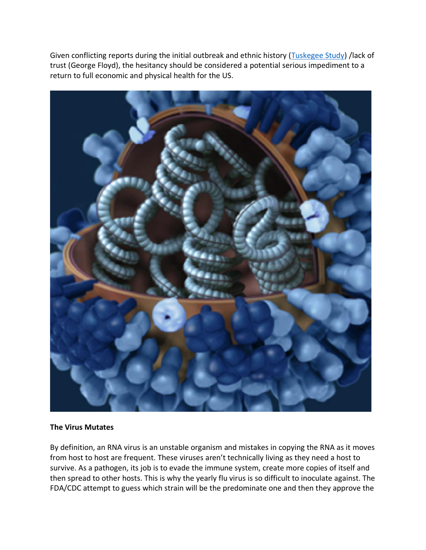Given conflicting reports during the initial outbreak and ethnic history [\(Tuskegee Study\)](https://en.wikipedia.org/wiki/Tuskegee_Syphilis_Study) /lack of trust (George Floyd), the hesitancy should be considered a potential serious impediment to a return to full economic and physical health for the US.



### **The Virus Mutates**

By definition, an RNA virus is an unstable organism and mistakes in copying the RNA as it moves from host to host are frequent. These viruses aren't technically living as they need a host to survive. As a pathogen, its job is to evade the immune system, create more copies of itself and then spread to other hosts. This is why the yearly flu virus is so difficult to inoculate against. The FDA/CDC attempt to guess which strain will be the predominate one and then they approve the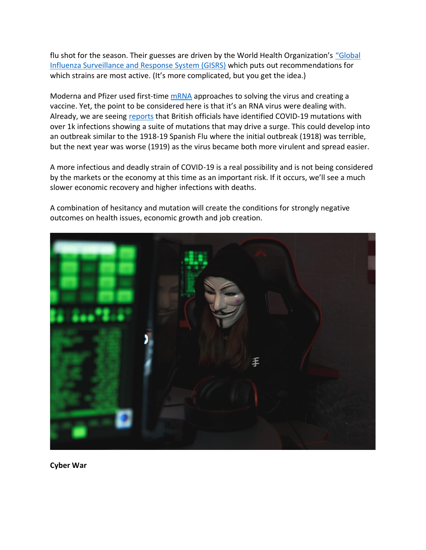flu shot for the season. Their guesses are driven by the World Health Organization's ["Global](https://www.who.int/influenza/gisrs_laboratory/en/)  [Influenza Surveillance and Response System \(GISRS\)](https://www.who.int/influenza/gisrs_laboratory/en/) which puts out recommendations for which strains are most active. (It's more complicated, but you get the idea.)

Moderna and Pfizer used first-time [mRNA](https://www.the-scientist.com/news-opinion/the-promise-of-mrna-vaccines-68202) approaches to solving the virus and creating a vaccine. Yet, the point to be considered here is that it's an RNA virus were dealing with. Already, we are seeing [reports](https://www.washingtonpost.com/health/british-officials-warn-of-possible-coronavirus-mutation-but-evidence-is-sketchy/2020/12/15/e543b658-3ef1-11eb-9453-fc36ba051781_story.html) that British officials have identified COVID-19 mutations with over 1k infections showing a suite of mutations that may drive a surge. This could develop into an outbreak similar to the 1918-19 Spanish Flu where the initial outbreak (1918) was terrible, but the next year was worse (1919) as the virus became both more virulent and spread easier.

A more infectious and deadly strain of COVID-19 is a real possibility and is not being considered by the markets or the economy at this time as an important risk. If it occurs, we'll see a much slower economic recovery and higher infections with deaths.



A combination of hesitancy and mutation will create the conditions for strongly negative



**Cyber War**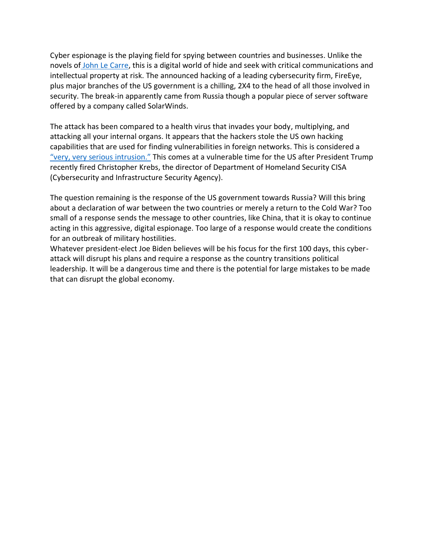Cyber espionage is the playing field for spying between countries and businesses. Unlike the novels of [John Le Carre,](https://www.nytimes.com/article/best-john-le-carre-books.html) this is a digital world of hide and seek with critical communications and intellectual property at risk. The announced hacking of a leading cybersecurity firm, FireEye, plus major branches of the US government is a chilling, 2X4 to the head of all those involved in security. The break-in apparently came from Russia though a popular piece of server software offered by a company called SolarWinds.

The attack has been compared to a health virus that invades your body, multiplying, and attacking all your internal organs. It appears that the hackers stole the US own hacking capabilities that are used for finding vulnerabilities in foreign networks. This is considered a ["very, very serious](https://www.usatoday.com/story/tech/2020/12/14/fireeye-solarwinds-hack-breach-cybersecurity-attack/6538645002/) intrusion." This comes at a vulnerable time for the US after President Trump recently fired Christopher Krebs, the director of Department of Homeland Security CISA (Cybersecurity and Infrastructure Security Agency).

The question remaining is the response of the US government towards Russia? Will this bring about a declaration of war between the two countries or merely a return to the Cold War? Too small of a response sends the message to other countries, like China, that it is okay to continue acting in this aggressive, digital espionage. Too large of a response would create the conditions for an outbreak of military hostilities.

Whatever president-elect Joe Biden believes will be his focus for the first 100 days, this cyberattack will disrupt his plans and require a response as the country transitions political leadership. It will be a dangerous time and there is the potential for large mistakes to be made that can disrupt the global economy.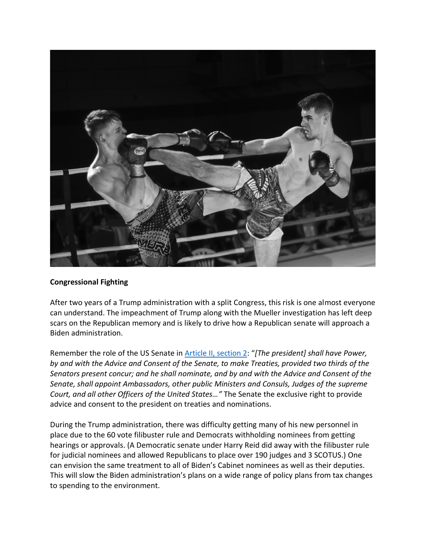

### **Congressional Fighting**

After two years of a Trump administration with a split Congress, this risk is one almost everyone can understand. The impeachment of Trump along with the Mueller investigation has left deep scars on the Republican memory and is likely to drive how a Republican senate will approach a Biden administration.

Remember the role of the US Senate in [Article II, section 2](https://www.senate.gov/civics/constitution_item/constitution.htm#a2_sec2): "*[The president] shall have Power, by and with the Advice and Consent of the Senate, to make Treaties, provided two thirds of the Senators present concur; and he shall nominate, and by and with the Advice and Consent of the Senate, shall appoint Ambassadors, other public Ministers and Consuls, Judges of the supreme Court, and all other Officers of the United States…"* The Senate the exclusive right to provide advice and consent to the president on treaties and nominations.

During the Trump administration, there was difficulty getting many of his new personnel in place due to the 60 vote filibuster rule and Democrats withholding nominees from getting hearings or approvals. (A Democratic senate under Harry Reid did away with the filibuster rule for judicial nominees and allowed Republicans to place over 190 judges and 3 SCOTUS.) One can envision the same treatment to all of Biden's Cabinet nominees as well as their deputies. This will slow the Biden administration's plans on a wide range of policy plans from tax changes to spending to the environment.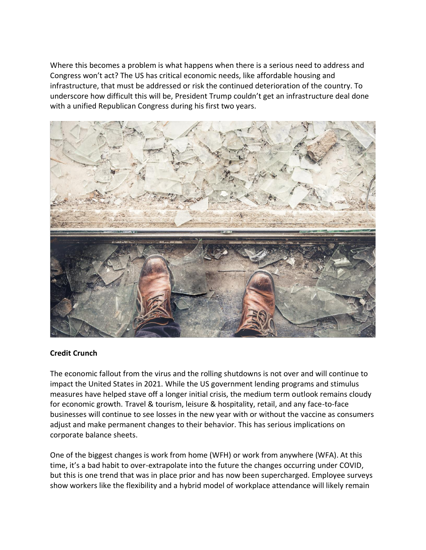Where this becomes a problem is what happens when there is a serious need to address and Congress won't act? The US has critical economic needs, like affordable housing and infrastructure, that must be addressed or risk the continued deterioration of the country. To underscore how difficult this will be, President Trump couldn't get an infrastructure deal done with a unified Republican Congress during his first two years.



### **Credit Crunch**

The economic fallout from the virus and the rolling shutdowns is not over and will continue to impact the United States in 2021. While the US government lending programs and stimulus measures have helped stave off a longer initial crisis, the medium term outlook remains cloudy for economic growth. Travel & tourism, leisure & hospitality, retail, and any face-to-face businesses will continue to see losses in the new year with or without the vaccine as consumers adjust and make permanent changes to their behavior. This has serious implications on corporate balance sheets.

One of the biggest changes is work from home (WFH) or work from anywhere (WFA). At this time, it's a bad habit to over-extrapolate into the future the changes occurring under COVID, but this is one trend that was in place prior and has now been supercharged. Employee surveys show workers like the flexibility and a hybrid model of workplace attendance will likely remain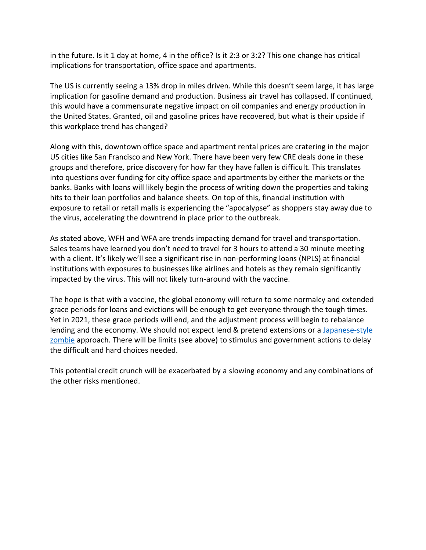in the future. Is it 1 day at home, 4 in the office? Is it 2:3 or 3:2? This one change has critical implications for transportation, office space and apartments.

The US is currently seeing a 13% drop in miles driven. While this doesn't seem large, it has large implication for gasoline demand and production. Business air travel has collapsed. If continued, this would have a commensurate negative impact on oil companies and energy production in the United States. Granted, oil and gasoline prices have recovered, but what is their upside if this workplace trend has changed?

Along with this, downtown office space and apartment rental prices are cratering in the major US cities like San Francisco and New York. There have been very few CRE deals done in these groups and therefore, price discovery for how far they have fallen is difficult. This translates into questions over funding for city office space and apartments by either the markets or the banks. Banks with loans will likely begin the process of writing down the properties and taking hits to their loan portfolios and balance sheets. On top of this, financial institution with exposure to retail or retail malls is experiencing the "apocalypse" as shoppers stay away due to the virus, accelerating the downtrend in place prior to the outbreak.

As stated above, WFH and WFA are trends impacting demand for travel and transportation. Sales teams have learned you don't need to travel for 3 hours to attend a 30 minute meeting with a client. It's likely we'll see a significant rise in non-performing loans (NPLS) at financial institutions with exposures to businesses like airlines and hotels as they remain significantly impacted by the virus. This will not likely turn-around with the vaccine.

The hope is that with a vaccine, the global economy will return to some normalcy and extended grace periods for loans and evictions will be enough to get everyone through the tough times. Yet in 2021, these grace periods will end, and the adjustment process will begin to rebalance lending and the economy. We should not expect lend & pretend extensions or a [Japanese-style](https://economics.mit.edu/files/3770)  [zombie](https://economics.mit.edu/files/3770) approach. There will be limits (see above) to stimulus and government actions to delay the difficult and hard choices needed.

This potential credit crunch will be exacerbated by a slowing economy and any combinations of the other risks mentioned.